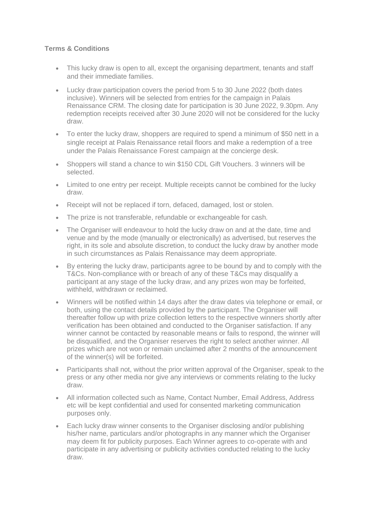## **Terms & Conditions**

- This lucky draw is open to all, except the organising department, tenants and staff and their immediate families.
- Lucky draw participation covers the period from 5 to 30 June 2022 (both dates inclusive). Winners will be selected from entries for the campaign in Palais Renaissance CRM. The closing date for participation is 30 June 2022, 9.30pm. Any redemption receipts received after 30 June 2020 will not be considered for the lucky draw.
- To enter the lucky draw, shoppers are required to spend a minimum of \$50 nett in a single receipt at Palais Renaissance retail floors and make a redemption of a tree under the Palais Renaissance Forest campaign at the concierge desk.
- Shoppers will stand a chance to win \$150 CDL Gift Vouchers. 3 winners will be selected.
- Limited to one entry per receipt. Multiple receipts cannot be combined for the lucky draw.
- Receipt will not be replaced if torn, defaced, damaged, lost or stolen.
- The prize is not transferable, refundable or exchangeable for cash.
- The Organiser will endeavour to hold the lucky draw on and at the date, time and venue and by the mode (manually or electronically) as advertised, but reserves the right, in its sole and absolute discretion, to conduct the lucky draw by another mode in such circumstances as Palais Renaissance may deem appropriate.
- By entering the lucky draw, participants agree to be bound by and to comply with the T&Cs. Non-compliance with or breach of any of these T&Cs may disqualify a participant at any stage of the lucky draw, and any prizes won may be forfeited, withheld, withdrawn or reclaimed.
- Winners will be notified within 14 days after the draw dates via telephone or email, or both, using the contact details provided by the participant. The Organiser will thereafter follow up with prize collection letters to the respective winners shortly after verification has been obtained and conducted to the Organiser satisfaction. If any winner cannot be contacted by reasonable means or fails to respond, the winner will be disqualified, and the Organiser reserves the right to select another winner. All prizes which are not won or remain unclaimed after 2 months of the announcement of the winner(s) will be forfeited.
- Participants shall not, without the prior written approval of the Organiser, speak to the press or any other media nor give any interviews or comments relating to the lucky draw.
- All information collected such as Name, Contact Number, Email Address, Address etc will be kept confidential and used for consented marketing communication purposes only.
- Each lucky draw winner consents to the Organiser disclosing and/or publishing his/her name, particulars and/or photographs in any manner which the Organiser may deem fit for publicity purposes. Each Winner agrees to co-operate with and participate in any advertising or publicity activities conducted relating to the lucky draw.